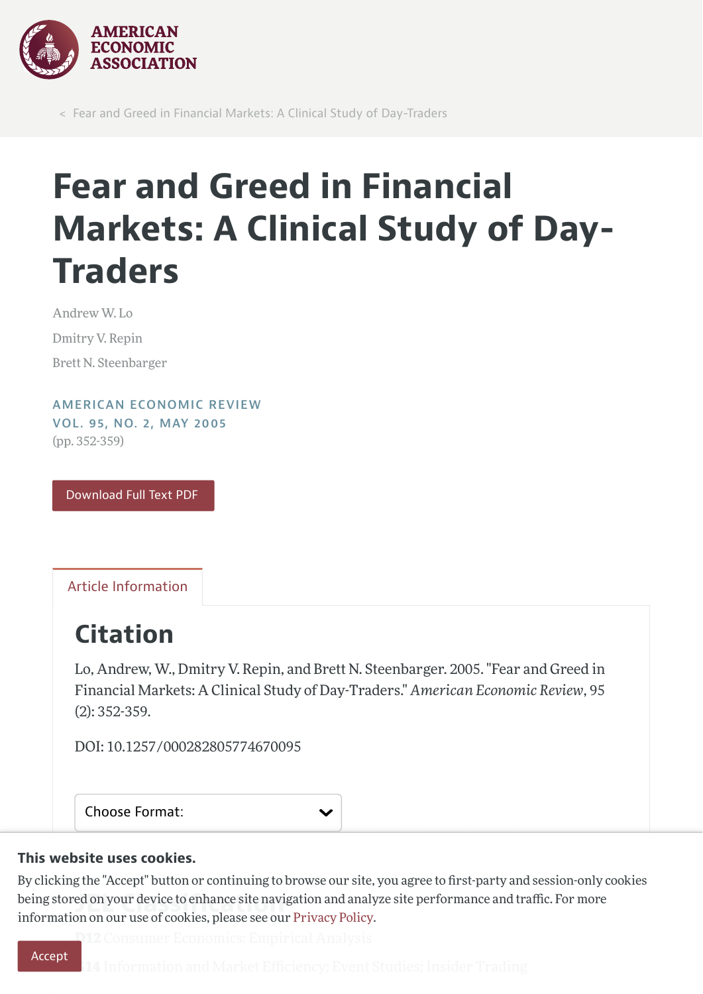

< Fear and Greed in Financial Markets: A Clinical Study of Day-Traders

# Fear and Greed in Financial Markets: A Clinical Study of Day-Traders

Andrew W. Lo Dmitry V. Repin Brett N. Steenbarger

AMERICAN [ECONOMIC](https://www.aeaweb.org/issues/51) REVIEW VOL. 95, NO. 2, MAY [2005](https://www.aeaweb.org/issues/51) (pp. 352-359)

[Download](https://www.aeaweb.org/articles/pdf/doi/10.1257/000282805774670095) Full Text PDF

Article [Information](#page-0-0)

# <span id="page-0-0"></span>Citation

Lo, Andrew, W., Dmitry V. Repin, and Brett N. Steenbarger. 2005. "Fear and Greed in Financial Markets: A Clinical Study of Day-Traders." American Economic Review, 95 (2): 352-359.

DOI: 10.1257/000282805774670095

Choose Format:

### This website uses cookies.

being stored on your device to enhance site navigation and analyze site performance and traffic. For more<br>information on our use of cookies, please see our Privacy Policy By clicking the "Accept" button or continuing to browse our site, you agree to first-party and session-only cookies information on our use of cookies, please see our [Privacy](https://www.aeaweb.org/privacypolicy) Policy.